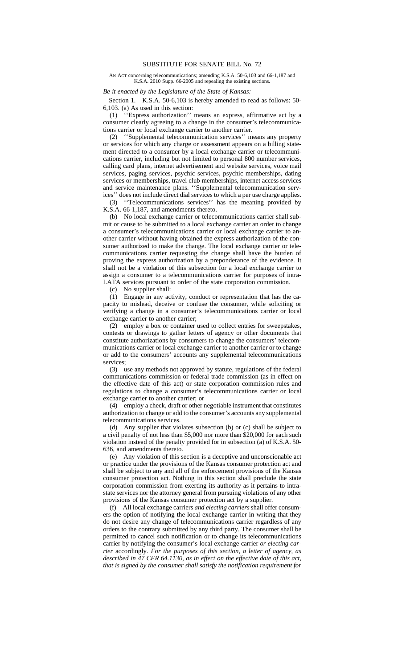AN ACT concerning telecommunications; amending K.S.A. 50-6,103 and 66-1,187 and K.S.A. 2010 Supp. 66-2005 and repealing the existing sections.

## *Be it enacted by the Legislature of the State of Kansas:*

Section 1. K.S.A. 50-6,103 is hereby amended to read as follows: 50- 6,103. (a) As used in this section:

(1) ''Express authorization'' means an express, affirmative act by a consumer clearly agreeing to a change in the consumer's telecommunications carrier or local exchange carrier to another carrier.

(2) ''Supplemental telecommunication services'' means any property or services for which any charge or assessment appears on a billing statement directed to a consumer by a local exchange carrier or telecommunications carrier, including but not limited to personal 800 number services, calling card plans, internet advertisement and website services, voice mail services, paging services, psychic services, psychic memberships, dating services or memberships, travel club memberships, internet access services and service maintenance plans. ''Supplemental telecommunication services'' does not include direct dial services to which a per use charge applies.

(3) ''Telecommunications services'' has the meaning provided by K.S.A. 66-1,187*,* and amendments thereto.

(b) No local exchange carrier or telecommunications carrier shall submit or cause to be submitted to a local exchange carrier an order to change a consumer's telecommunications carrier or local exchange carrier to another carrier without having obtained the express authorization of the consumer authorized to make the change. The local exchange carrier or telecommunications carrier requesting the change shall have the burden of proving the express authorization by a preponderance of the evidence. It shall not be a violation of this subsection for a local exchange carrier to assign a consumer to a telecommunications carrier for purposes of intra-LATA services pursuant to order of the state corporation commission.

(c) No supplier shall:

(1) Engage in any activity, conduct or representation that has the capacity to mislead, deceive or confuse the consumer, while soliciting or verifying a change in a consumer's telecommunications carrier or local exchange carrier to another carrier;

(2) employ a box or container used to collect entries for sweepstakes, contests or drawings to gather letters of agency or other documents that constitute authorizations by consumers to change the consumers' telecommunications carrier or local exchange carrier to another carrier or to change or add to the consumers' accounts any supplemental telecommunications services;

(3) use any methods not approved by statute, regulations of the federal communications commission or federal trade commission (as in effect on the effective date of this act) or state corporation commission rules and regulations to change a consumer's telecommunications carrier or local exchange carrier to another carrier; or

(4) employ a check, draft or other negotiable instrument that constitutes authorization to change or add to the consumer's accounts any supplemental telecommunications services.

(d) Any supplier that violates subsection (b) or (c) shall be subject to a civil penalty of not less than \$5,000 nor more than \$20,000 for each such violation instead of the penalty provided for in subsection (a) of K.S.A. 50- 636, and amendments thereto.

(e) Any violation of this section is a deceptive and unconscionable act or practice under the provisions of the Kansas consumer protection act and shall be subject to any and all of the enforcement provisions of the Kansas consumer protection act. Nothing in this section shall preclude the state corporation commission from exerting its authority as it pertains to intrastate services nor the attorney general from pursuing violations of any other provisions of the Kansas consumer protection act by a supplier.

(f) All local exchange carriers *and electing carriers* shall offer consumers the option of notifying the local exchange carrier in writing that they do not desire any change of telecommunications carrier regardless of any orders to the contrary submitted by any third party. The consumer shall be permitted to cancel such notification or to change its telecommunications carrier by notifying the consumer's local exchange carrier *or electing carrier* accordingly. *For the purposes of this section, a letter of agency, as described in 47 CFR 64.1130, as in effect on the effective date of this act, that is signed by the consumer shall satisfy the notification requirement for*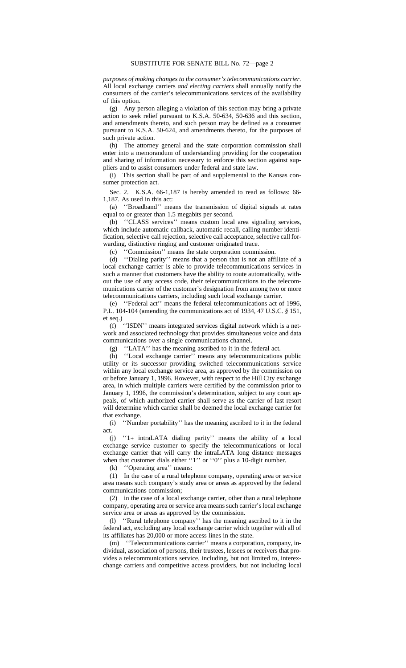*purposes of making changes to the consumer's telecommunications carrier.* All local exchange carriers *and electing carriers* shall annually notify the consumers of the carrier's telecommunications services of the availability of this option.

(g) Any person alleging a violation of this section may bring a private action to seek relief pursuant to K.S.A. 50-634, 50-636 and this section, and amendments thereto, and such person may be defined as a consumer pursuant to K.S.A. 50-624, and amendments thereto, for the purposes of such private action.

(h) The attorney general and the state corporation commission shall enter into a memorandum of understanding providing for the cooperation and sharing of information necessary to enforce this section against suppliers and to assist consumers under federal and state law.

(i) This section shall be part of and supplemental to the Kansas consumer protection act.

Sec. 2. K.S.A. 66-1,187 is hereby amended to read as follows: 66- 1,187. As used in this act:

(a) ''Broadband'' means the transmission of digital signals at rates equal to or greater than 1.5 megabits per second.

(b) ''CLASS services'' means custom local area signaling services, which include automatic callback, automatic recall, calling number identification, selective call rejection, selective call acceptance, selective call forwarding, distinctive ringing and customer originated trace.

(c) ''Commission'' means the state corporation commission.

(d) ''Dialing parity'' means that a person that is not an affiliate of a local exchange carrier is able to provide telecommunications services in such a manner that customers have the ability to route automatically, without the use of any access code, their telecommunications to the telecommunications carrier of the customer's designation from among two or more telecommunications carriers, including such local exchange carrier.

(e) ''Federal act'' means the federal telecommunications act of 1996, P.L. 104-104 (amending the communications act of 1934, 47 U.S.C. *§* 151, et seq.)

(f) ''ISDN'' means integrated services digital network which is a network and associated technology that provides simultaneous voice and data communications over a single communications channel.

(g) ''LATA'' has the meaning ascribed to it in the federal act.

(h) ''Local exchange carrier'' means any telecommunications public utility or its successor providing switched telecommunications service within any local exchange service area, as approved by the commission on or before January 1, 1996. However, with respect to the Hill City exchange area, in which multiple carriers were certified by the commission prior to January 1, 1996, the commission's determination, subject to any court appeals, of which authorized carrier shall serve as the carrier of last resort will determine which carrier shall be deemed the local exchange carrier for that exchange.

(i) ''Number portability'' has the meaning ascribed to it in the federal act.

(j) ''1+ intraLATA dialing parity'' means the ability of a local exchange service customer to specify the telecommunications or local exchange carrier that will carry the intraLATA long distance messages when that customer dials either "1" or "0" plus a 10-digit number.

(k) ''Operating area'' means:

(1) In the case of a rural telephone company, operating area or service area means such company's study area or areas as approved by the federal communications commission;

(2) in the case of a local exchange carrier, other than a rural telephone company, operating area or service area means such carrier's local exchange service area or areas as approved by the commission.

(l) ''Rural telephone company'' has the meaning ascribed to it in the federal act, excluding any local exchange carrier which together with all of its affiliates has 20,000 or more access lines in the state.

(m) ''Telecommunications carrier'' means a corporation, company, individual, association of persons, their trustees, lessees or receivers that provides a telecommunications service, including, but not limited to, interexchange carriers and competitive access providers, but not including local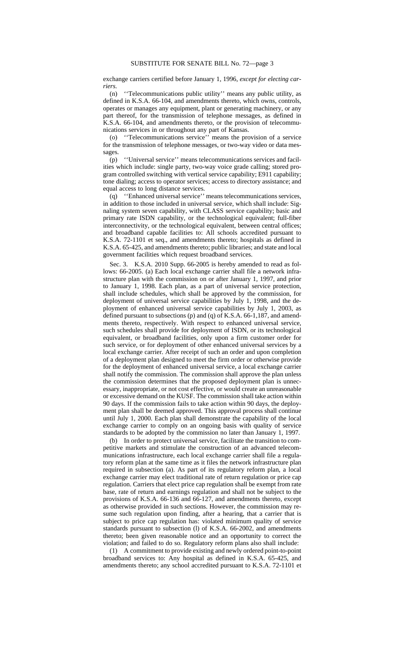exchange carriers certified before January 1, 1996*, except for electing carriers*.

(n) ''Telecommunications public utility'' means any public utility, as defined in K.S.A. 66-104, and amendments thereto, which owns, controls, operates or manages any equipment, plant or generating machinery, or any part thereof, for the transmission of telephone messages, as defined in K.S.A. 66-104, and amendments thereto, or the provision of telecommunications services in or throughout any part of Kansas.

(o) ''Telecommunications service'' means the provision of a service for the transmission of telephone messages, or two-way video or data messages.

(p) ''Universal service'' means telecommunications services and facilities which include: single party, two-way voice grade calling; stored program controlled switching with vertical service capability; E911 capability; tone dialing; access to operator services; access to directory assistance; and equal access to long distance services.

(q) ''Enhanced universal service'' means telecommunications services, in addition to those included in universal service, which shall include: Signaling system seven capability, with CLASS service capability; basic and primary rate ISDN capability, or the technological equivalent; full-fiber interconnectivity, or the technological equivalent, between central offices; and broadband capable facilities to: All schools accredited pursuant to K.S.A. 72-1101 et seq., and amendments thereto; hospitals as defined in K.S.A. 65-425, and amendments thereto; public libraries; and state and local government facilities which request broadband services.

Sec. 3. K.S.A. 2010 Supp. 66-2005 is hereby amended to read as follows: 66-2005. (a) Each local exchange carrier shall file a network infrastructure plan with the commission on or after January 1, 1997, and prior to January 1, 1998. Each plan, as a part of universal service protection, shall include schedules, which shall be approved by the commission, for deployment of universal service capabilities by July 1, 1998, and the deployment of enhanced universal service capabilities by July 1, 2003, as defined pursuant to subsections (p) and (q) of K.S.A. 66-1,187, and amendments thereto, respectively. With respect to enhanced universal service, such schedules shall provide for deployment of ISDN, or its technological equivalent, or broadband facilities, only upon a firm customer order for such service, or for deployment of other enhanced universal services by a local exchange carrier. After receipt of such an order and upon completion of a deployment plan designed to meet the firm order or otherwise provide for the deployment of enhanced universal service, a local exchange carrier shall notify the commission. The commission shall approve the plan unless the commission determines that the proposed deployment plan is unnecessary, inappropriate, or not cost effective, or would create an unreasonable or excessive demand on the KUSF. The commission shall take action within 90 days. If the commission fails to take action within 90 days, the deployment plan shall be deemed approved. This approval process shall continue until July 1, 2000. Each plan shall demonstrate the capability of the local exchange carrier to comply on an ongoing basis with quality of service standards to be adopted by the commission no later than January 1, 1997.

(b) In order to protect universal service, facilitate the transition to competitive markets and stimulate the construction of an advanced telecommunications infrastructure, each local exchange carrier shall file a regulatory reform plan at the same time as it files the network infrastructure plan required in subsection (a). As part of its regulatory reform plan, a local exchange carrier may elect traditional rate of return regulation or price cap regulation. Carriers that elect price cap regulation shall be exempt from rate base, rate of return and earnings regulation and shall not be subject to the provisions of K.S.A. 66-136 and 66-127, and amendments thereto*,* except as otherwise provided in such sections. However, the commission may resume such regulation upon finding, after a hearing, that a carrier that is subject to price cap regulation has: violated minimum quality of service standards pursuant to subsection (l) of K.S.A. 66-2002, and amendments thereto; been given reasonable notice and an opportunity to correct the violation; and failed to do so. Regulatory reform plans also shall include:

(1) A commitment to provide existing and newly ordered point-to-point broadband services to: Any hospital as defined in K.S.A. 65-425, and amendments thereto; any school accredited pursuant to K.S.A. 72-1101 et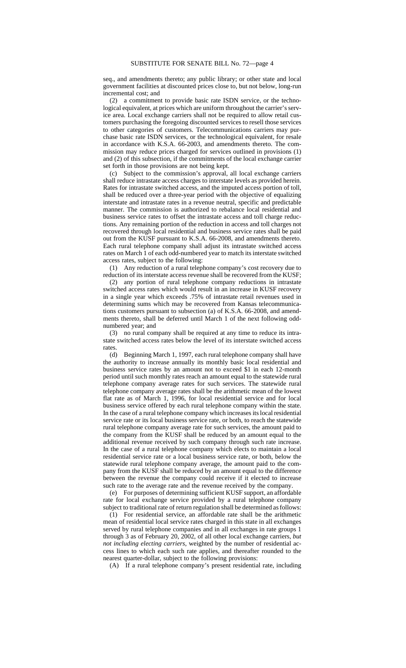seq., and amendments thereto; any public library; or other state and local government facilities at discounted prices close to, but not below, long-run incremental cost; and

(2) a commitment to provide basic rate ISDN service, or the technological equivalent, at prices which are uniform throughout the carrier's service area. Local exchange carriers shall not be required to allow retail customers purchasing the foregoing discounted services to resell those services to other categories of customers. Telecommunications carriers may purchase basic rate ISDN services, or the technological equivalent, for resale in accordance with K.S.A. 66-2003, and amendments thereto. The commission may reduce prices charged for services outlined in provisions (1) and (2) of this subsection, if the commitments of the local exchange carrier set forth in those provisions are not being kept.

(c) Subject to the commission's approval, all local exchange carriers shall reduce intrastate access charges to interstate levels as provided herein. Rates for intrastate switched access, and the imputed access portion of toll, shall be reduced over a three-year period with the objective of equalizing interstate and intrastate rates in a revenue neutral, specific and predictable manner. The commission is authorized to rebalance local residential and business service rates to offset the intrastate access and toll charge reductions. Any remaining portion of the reduction in access and toll charges not recovered through local residential and business service rates shall be paid out from the KUSF pursuant to K.S.A. 66-2008, and amendments thereto. Each rural telephone company shall adjust its intrastate switched access rates on March 1 of each odd-numbered year to match its interstate switched access rates, subject to the following:

(1) Any reduction of a rural telephone company's cost recovery due to reduction of its interstate access revenue shall be recovered from the KUSF;

(2) any portion of rural telephone company reductions in intrastate switched access rates which would result in an increase in KUSF recovery in a single year which exceeds .75% of intrastate retail revenues used in determining sums which may be recovered from Kansas telecommunications customers pursuant to subsection (a) of K.S.A. 66-2008, and amendments thereto, shall be deferred until March 1 of the next following oddnumbered year; and

(3) no rural company shall be required at any time to reduce its intrastate switched access rates below the level of its interstate switched access rates.

(d) Beginning March 1, 1997, each rural telephone company shall have the authority to increase annually its monthly basic local residential and business service rates by an amount not to exceed \$1 in each 12-month period until such monthly rates reach an amount equal to the statewide rural telephone company average rates for such services. The statewide rural telephone company average rates shall be the arithmetic mean of the lowest flat rate as of March 1, 1996, for local residential service and for local business service offered by each rural telephone company within the state. In the case of a rural telephone company which increases its local residential service rate or its local business service rate, or both, to reach the statewide rural telephone company average rate for such services, the amount paid to the company from the KUSF shall be reduced by an amount equal to the additional revenue received by such company through such rate increase. In the case of a rural telephone company which elects to maintain a local residential service rate or a local business service rate, or both, below the statewide rural telephone company average, the amount paid to the company from the KUSF shall be reduced by an amount equal to the difference between the revenue the company could receive if it elected to increase such rate to the average rate and the revenue received by the company.

(e) For purposes of determining sufficient KUSF support, an affordable rate for local exchange service provided by a rural telephone company subject to traditional rate of return regulation shall be determined as follows:

(1) For residential service, an affordable rate shall be the arithmetic mean of residential local service rates charged in this state in all exchanges served by rural telephone companies and in all exchanges in rate groups 1 through 3 as of February 20, 2002, of all other local exchange carriers, *but not including electing carriers,* weighted by the number of residential access lines to which each such rate applies, and thereafter rounded to the nearest quarter-dollar, subject to the following provisions:

(A) If a rural telephone company's present residential rate, including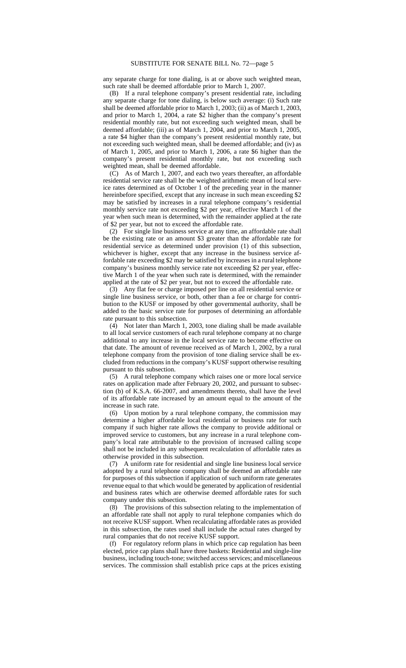any separate charge for tone dialing, is at or above such weighted mean, such rate shall be deemed affordable prior to March 1, 2007.

(B) If a rural telephone company's present residential rate, including any separate charge for tone dialing, is below such average: (i) Such rate shall be deemed affordable prior to March 1, 2003; (ii) as of March 1, 2003, and prior to March 1, 2004, a rate \$2 higher than the company's present residential monthly rate, but not exceeding such weighted mean, shall be deemed affordable; (iii) as of March 1, 2004, and prior to March 1, 2005, a rate \$4 higher than the company's present residential monthly rate, but not exceeding such weighted mean, shall be deemed affordable; and (iv) as of March 1, 2005, and prior to March 1, 2006, a rate \$6 higher than the company's present residential monthly rate, but not exceeding such weighted mean, shall be deemed affordable.

(C) As of March 1, 2007, and each two years thereafter, an affordable residential service rate shall be the weighted arithmetic mean of local service rates determined as of October 1 of the preceding year in the manner hereinbefore specified, except that any increase in such mean exceeding \$2 may be satisfied by increases in a rural telephone company's residential monthly service rate not exceeding \$2 per year, effective March 1 of the year when such mean is determined, with the remainder applied at the rate of \$2 per year, but not to exceed the affordable rate.

(2) For single line business service at any time, an affordable rate shall be the existing rate or an amount \$3 greater than the affordable rate for residential service as determined under provision (1) of this subsection, whichever is higher, except that any increase in the business service affordable rate exceeding \$2 may be satisfied by increases in a rural telephone company's business monthly service rate not exceeding \$2 per year, effective March 1 of the year when such rate is determined, with the remainder applied at the rate of \$2 per year, but not to exceed the affordable rate.

(3) Any flat fee or charge imposed per line on all residential service or single line business service, or both, other than a fee or charge for contribution to the KUSF or imposed by other governmental authority, shall be added to the basic service rate for purposes of determining an affordable rate pursuant to this subsection.

(4) Not later than March 1, 2003, tone dialing shall be made available to all local service customers of each rural telephone company at no charge additional to any increase in the local service rate to become effective on that date. The amount of revenue received as of March 1, 2002, by a rural telephone company from the provision of tone dialing service shall be excluded from reductions in the company's KUSF support otherwise resulting pursuant to this subsection.

(5) A rural telephone company which raises one or more local service rates on application made after February 20, 2002, and pursuant to subsection (b) of K.S.A. 66-2007, and amendments thereto, shall have the level of its affordable rate increased by an amount equal to the amount of the increase in such rate.

(6) Upon motion by a rural telephone company, the commission may determine a higher affordable local residential or business rate for such company if such higher rate allows the company to provide additional or improved service to customers, but any increase in a rural telephone company's local rate attributable to the provision of increased calling scope shall not be included in any subsequent recalculation of affordable rates as otherwise provided in this subsection.

(7) A uniform rate for residential and single line business local service adopted by a rural telephone company shall be deemed an affordable rate for purposes of this subsection if application of such uniform rate generates revenue equal to that which would be generated by application of residential and business rates which are otherwise deemed affordable rates for such company under this subsection.

(8) The provisions of this subsection relating to the implementation of an affordable rate shall not apply to rural telephone companies which do not receive KUSF support. When recalculating affordable rates as provided in this subsection, the rates used shall include the actual rates charged by rural companies that do not receive KUSF support.

(f) For regulatory reform plans in which price cap regulation has been elected, price cap plans shall have three baskets: Residential and single-line business, including touch-tone; switched access services; and miscellaneous services. The commission shall establish price caps at the prices existing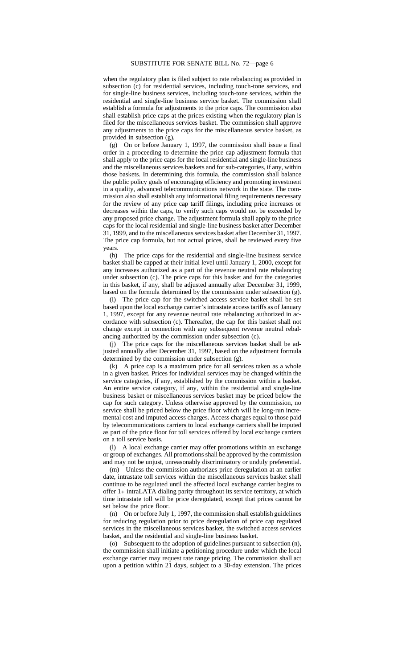when the regulatory plan is filed subject to rate rebalancing as provided in subsection (c) for residential services, including touch-tone services, and for single-line business services, including touch-tone services, within the residential and single-line business service basket. The commission shall establish a formula for adjustments to the price caps. The commission also shall establish price caps at the prices existing when the regulatory plan is filed for the miscellaneous services basket. The commission shall approve any adjustments to the price caps for the miscellaneous service basket, as provided in subsection (g).

(g) On or before January 1, 1997, the commission shall issue a final order in a proceeding to determine the price cap adjustment formula that shall apply to the price caps for the local residential and single-line business and the miscellaneous services baskets and for sub-categories, if any, within those baskets. In determining this formula, the commission shall balance the public policy goals of encouraging efficiency and promoting investment in a quality, advanced telecommunications network in the state. The commission also shall establish any informational filing requirements necessary for the review of any price cap tariff filings, including price increases or decreases within the caps, to verify such caps would not be exceeded by any proposed price change. The adjustment formula shall apply to the price caps for the local residential and single-line business basket after December 31, 1999, and to the miscellaneous services basket after December 31, 1997. The price cap formula, but not actual prices, shall be reviewed every five years.

(h) The price caps for the residential and single-line business service basket shall be capped at their initial level until January 1, 2000, except for any increases authorized as a part of the revenue neutral rate rebalancing under subsection (c). The price caps for this basket and for the categories in this basket, if any, shall be adjusted annually after December 31, 1999, based on the formula determined by the commission under subsection (g).

(i) The price cap for the switched access service basket shall be set based upon the local exchange carrier's intrastate access tariffs as of January 1, 1997, except for any revenue neutral rate rebalancing authorized in accordance with subsection (c). Thereafter, the cap for this basket shall not change except in connection with any subsequent revenue neutral rebalancing authorized by the commission under subsection (c).

(j) The price caps for the miscellaneous services basket shall be adjusted annually after December 31, 1997, based on the adjustment formula determined by the commission under subsection (g).

(k) A price cap is a maximum price for all services taken as a whole in a given basket. Prices for individual services may be changed within the service categories, if any, established by the commission within a basket. An entire service category, if any, within the residential and single-line business basket or miscellaneous services basket may be priced below the cap for such category. Unless otherwise approved by the commission, no service shall be priced below the price floor which will be long-run incremental cost and imputed access charges. Access charges equal to those paid by telecommunications carriers to local exchange carriers shall be imputed as part of the price floor for toll services offered by local exchange carriers on a toll service basis.

(l) A local exchange carrier may offer promotions within an exchange or group of exchanges. All promotions shall be approved by the commission and may not be unjust, unreasonably discriminatory or unduly preferential.

(m) Unless the commission authorizes price deregulation at an earlier date, intrastate toll services within the miscellaneous services basket shall continue to be regulated until the affected local exchange carrier begins to offer 1+ intraLATA dialing parity throughout its service territory, at which time intrastate toll will be price deregulated, except that prices cannot be set below the price floor.

(n) On or before July 1, 1997, the commission shall establish guidelines for reducing regulation prior to price deregulation of price cap regulated services in the miscellaneous services basket, the switched access services basket, and the residential and single-line business basket.

(o) Subsequent to the adoption of guidelines pursuant to subsection (n), the commission shall initiate a petitioning procedure under which the local exchange carrier may request rate range pricing. The commission shall act upon a petition within 21 days, subject to a 30-day extension. The prices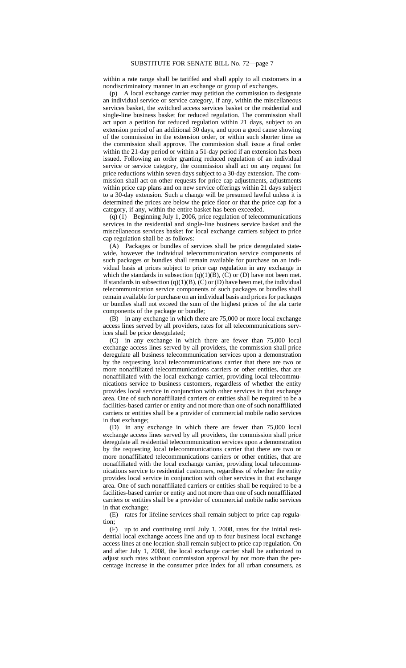## SUBSTITUTE FOR SENATE BILL No. 72—page 7

within a rate range shall be tariffed and shall apply to all customers in a nondiscriminatory manner in an exchange or group of exchanges.

(p) A local exchange carrier may petition the commission to designate an individual service or service category, if any, within the miscellaneous services basket, the switched access services basket or the residential and single-line business basket for reduced regulation. The commission shall act upon a petition for reduced regulation within 21 days, subject to an extension period of an additional 30 days, and upon a good cause showing of the commission in the extension order, or within such shorter time as the commission shall approve. The commission shall issue a final order within the 21-day period or within a 51-day period if an extension has been issued. Following an order granting reduced regulation of an individual service or service category, the commission shall act on any request for price reductions within seven days subject to a 30-day extension. The commission shall act on other requests for price cap adjustments, adjustments within price cap plans and on new service offerings within 21 days subject to a 30-day extension. Such a change will be presumed lawful unless it is determined the prices are below the price floor or that the price cap for a category, if any, within the entire basket has been exceeded.

(q) (1) Beginning July 1, 2006, price regulation of telecommunications services in the residential and single-line business service basket and the miscellaneous services basket for local exchange carriers subject to price cap regulation shall be as follows:

(A) Packages or bundles of services shall be price deregulated statewide, however the individual telecommunication service components of such packages or bundles shall remain available for purchase on an individual basis at prices subject to price cap regulation in any exchange in which the standards in subsection  $(q)(1)(B)$ ,  $(C)$  or  $(D)$  have not been met. If standards in subsection  $(q)(1)(B)$ ,  $(C)$  or  $(D)$  have been met, the individual telecommunication service components of such packages or bundles shall remain available for purchase on an individual basis and prices for packages or bundles shall not exceed the sum of the highest prices of the ala carte components of the package or bundle;

(B) in any exchange in which there are 75,000 or more local exchange access lines served by all providers, rates for all telecommunications services shall be price deregulated;

(C) in any exchange in which there are fewer than 75,000 local exchange access lines served by all providers, the commission shall price deregulate all business telecommunication services upon a demonstration by the requesting local telecommunications carrier that there are two or more nonaffiliated telecommunications carriers or other entities, that are nonaffiliated with the local exchange carrier, providing local telecommunications service to business customers, regardless of whether the entity provides local service in conjunction with other services in that exchange area. One of such nonaffiliated carriers or entities shall be required to be a facilities-based carrier or entity and not more than one of such nonaffiliated carriers or entities shall be a provider of commercial mobile radio services in that exchange;

(D) in any exchange in which there are fewer than 75,000 local exchange access lines served by all providers, the commission shall price deregulate all residential telecommunication services upon a demonstration by the requesting local telecommunications carrier that there are two or more nonaffiliated telecommunications carriers or other entities, that are nonaffiliated with the local exchange carrier, providing local telecommunications service to residential customers, regardless of whether the entity provides local service in conjunction with other services in that exchange area. One of such nonaffiliated carriers or entities shall be required to be a facilities-based carrier or entity and not more than one of such nonaffiliated carriers or entities shall be a provider of commercial mobile radio services in that exchange;

(E) rates for lifeline services shall remain subject to price cap regulation;

(F) up to and continuing until July 1, 2008, rates for the initial residential local exchange access line and up to four business local exchange access lines at one location shall remain subject to price cap regulation. On and after July 1, 2008, the local exchange carrier shall be authorized to adjust such rates without commission approval by not more than the percentage increase in the consumer price index for all urban consumers, as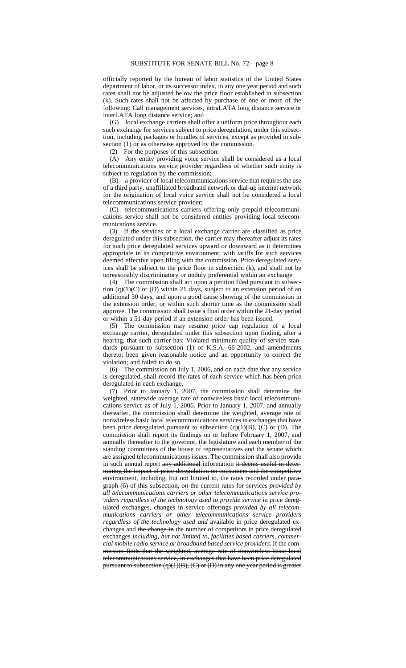officially reported by the bureau of labor statistics of the United States department of labor, or its successor index, in any one year period and such rates shall not be adjusted below the price floor established in subsection (k). Such rates shall not be affected by purchase of one or more of the following: Call management services, intraLATA long distance service or interLATA long distance service; and

(G) local exchange carriers shall offer a uniform price throughout each such exchange for services subject to price deregulation, under this subsection, including packages or bundles of services, except as provided in subsection (1) or as otherwise approved by the commission.

(2) For the purposes of this subsection:

(A) Any entity providing voice service shall be considered as a local telecommunications service provider regardless of whether such entity is subject to regulation by the commission;

(B) a provider of local telecommunications service that requires the use of a third party, unaffiliated broadband network or dial-up internet network for the origination of local voice service shall not be considered a local telecommunications service provider;

(C) telecommunications carriers offering only prepaid telecommunications service shall not be considered entities providing local telecommunications service.

(3) If the services of a local exchange carrier are classified as price deregulated under this subsection, the carrier may thereafter adjust its rates for such price deregulated services upward or downward as it determines appropriate in its competitive environment, with tariffs for such services deemed effective upon filing with the commission. Price deregulated services shall be subject to the price floor in subsection (k), and shall not be unreasonably discriminatory or unduly preferential within an exchange.

(4) The commission shall act upon a petition filed pursuant to subsection  $(q)(1)(C)$  or  $(D)$  within 21 days, subject to an extension period of an additional 30 days, and upon a good cause showing of the commission in the extension order, or within such shorter time as the commission shall approve. The commission shall issue a final order within the 21-day period or within a 51-day period if an extension order has been issued.

(5) The commission may resume price cap regulation of a local exchange carrier, deregulated under this subsection upon finding, after a hearing, that such carrier has: Violated minimum quality of service standards pursuant to subsection (1) of K.S.A. 66-2002, and amendments thereto; been given reasonable notice and an opportunity to correct the violation; and failed to do so.

(6) The commission on July 1, 2006, and on each date that any service is deregulated, shall record the rates of each service which has been price deregulated in each exchange.

(7) Prior to January 1, 2007, the commission shall determine the weighted, statewide average rate of nonwireless basic local telecommunications service as of July 1, 2006. Prior to January 1, 2007, and annually thereafter, the commission shall determine the weighted, average rate of nonwireless basic local telecommunications services in exchanges that have been price deregulated pursuant to subsection  $(q)(1)(B)$ ,  $(C)$  or  $(D)$ . The commission shall report its findings on or before February 1, 2007, and annually thereafter to the governor, the legislature and each member of the standing committees of the house of representatives and the senate which are assigned telecommunications issues. The commission shall also provide in such annual report any additional information it deems useful in determining the impact of price deregulation on consumers and the competitive environment, including, but not limited to, the rates recorded under paragraph (6) of this subsection, *on* the current rates for services *provided by all telecommunications carriers or other telecommunications service providers regardless of the technology used to provide service* in price deregulated exchanges, changes in service offerings *provided by all telecommunications carriers or other telecommunications service providers regardless of the technology used and* available in price deregulated exchanges and the change in the number of competitors in price deregulated exchanges *including, but not limited to, facilities based carriers, commercial mobile radio service or broadband based service providers*. If the commission finds that the weighted, average rate of nonwireless basic local telecommunications service, in exchanges that have been price deregulated pursuant to subsection  $(q)(1)(B)$ ,  $(C)$  or  $(D)$  in any one year period is greater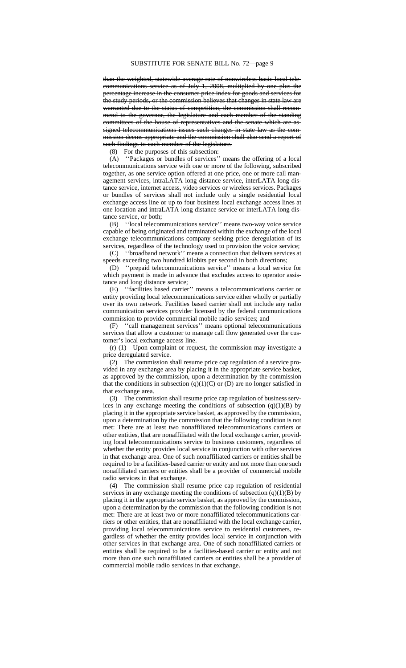than the weighted, statewide average rate of nonwireless basic local telecommunications service as of July 1, 2008, multiplied by one plus the percentage increase in the consumer price index for goods and services for the study periods, or the commission believes that changes in state law are warranted due to the status of competition, the commission shall recommend to the governor, the legislature and each member of the standing committees of the house of representatives and the senate which are assigned telecommunications issues such changes in state law as the commission deems appropriate and the commission shall also send a report of such findings to each member of the legislature.

(8) For the purposes of this subsection:

(A) ''Packages or bundles of services'' means the offering of a local telecommunications service with one or more of the following, subscribed together, as one service option offered at one price, one or more call management services, intraLATA long distance service, interLATA long distance service, internet access, video services or wireless services. Packages or bundles of services shall not include only a single residential local exchange access line or up to four business local exchange access lines at one location and intraLATA long distance service or interLATA long distance service, or both;

(B) ''local telecommunications service'' means two-way voice service capable of being originated and terminated within the exchange of the local exchange telecommunications company seeking price deregulation of its services, regardless of the technology used to provision the voice service;

(C) ''broadband network'' means a connection that delivers services at speeds exceeding two hundred kilobits per second in both directions;

(D) ''prepaid telecommunications service'' means a local service for which payment is made in advance that excludes access to operator assistance and long distance service;

(E) ''facilities based carrier'' means a telecommunications carrier or entity providing local telecommunications service either wholly or partially over its own network. Facilities based carrier shall not include any radio communication services provider licensed by the federal communications commission to provide commercial mobile radio services; and

(F) ''call management services'' means optional telecommunications services that allow a customer to manage call flow generated over the customer's local exchange access line.

(r) (1) Upon complaint or request, the commission may investigate a price deregulated service.

(2) The commission shall resume price cap regulation of a service provided in any exchange area by placing it in the appropriate service basket, as approved by the commission, upon a determination by the commission that the conditions in subsection  $(q)(1)(C)$  or  $(D)$  are no longer satisfied in that exchange area.

(3) The commission shall resume price cap regulation of business services in any exchange meeting the conditions of subsection (q)(1)(B) by placing it in the appropriate service basket, as approved by the commission, upon a determination by the commission that the following condition is not met: There are at least two nonaffiliated telecommunications carriers or other entities, that are nonaffiliated with the local exchange carrier, providing local telecommunications service to business customers, regardless of whether the entity provides local service in conjunction with other services in that exchange area. One of such nonaffiliated carriers or entities shall be required to be a facilities-based carrier or entity and not more than one such nonaffiliated carriers or entities shall be a provider of commercial mobile radio services in that exchange.

(4) The commission shall resume price cap regulation of residential services in any exchange meeting the conditions of subsection  $(q)(1)(B)$  by placing it in the appropriate service basket, as approved by the commission, upon a determination by the commission that the following condition is not met: There are at least two or more nonaffiliated telecommunications carriers or other entities, that are nonaffiliated with the local exchange carrier, providing local telecommunications service to residential customers, regardless of whether the entity provides local service in conjunction with other services in that exchange area. One of such nonaffiliated carriers or entities shall be required to be a facilities-based carrier or entity and not more than one such nonaffiliated carriers or entities shall be a provider of commercial mobile radio services in that exchange.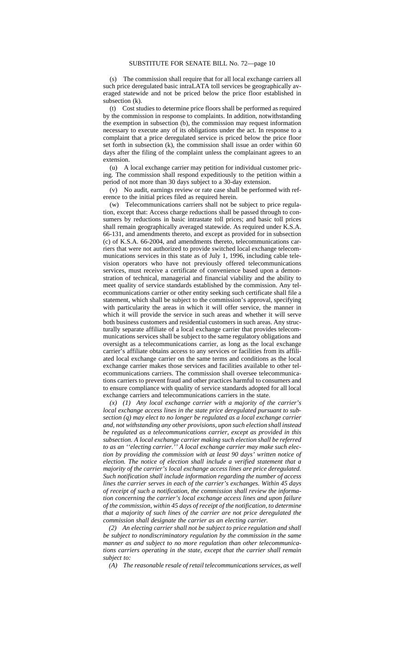(s) The commission shall require that for all local exchange carriers all such price deregulated basic intraLATA toll services be geographically averaged statewide and not be priced below the price floor established in subsection (k).

(t) Cost studies to determine price floors shall be performed as required by the commission in response to complaints. In addition, notwithstanding the exemption in subsection (b), the commission may request information necessary to execute any of its obligations under the act. In response to a complaint that a price deregulated service is priced below the price floor set forth in subsection (k), the commission shall issue an order within 60 days after the filing of the complaint unless the complainant agrees to an extension.

(u) A local exchange carrier may petition for individual customer pricing. The commission shall respond expeditiously to the petition within a period of not more than 30 days subject to a 30-day extension.

(v) No audit, earnings review or rate case shall be performed with reference to the initial prices filed as required herein.

(w) Telecommunications carriers shall not be subject to price regulation, except that: Access charge reductions shall be passed through to consumers by reductions in basic intrastate toll prices; and basic toll prices shall remain geographically averaged statewide. As required under K.S.A. 66-131, and amendments thereto, and except as provided for in subsection (c) of K.S.A. 66-2004, and amendments thereto, telecommunications carriers that were not authorized to provide switched local exchange telecommunications services in this state as of July 1, 1996, including cable television operators who have not previously offered telecommunications services, must receive a certificate of convenience based upon a demonstration of technical, managerial and financial viability and the ability to meet quality of service standards established by the commission. Any telecommunications carrier or other entity seeking such certificate shall file a statement, which shall be subject to the commission's approval, specifying with particularity the areas in which it will offer service, the manner in which it will provide the service in such areas and whether it will serve both business customers and residential customers in such areas. Any structurally separate affiliate of a local exchange carrier that provides telecommunications services shall be subject to the same regulatory obligations and oversight as a telecommunications carrier, as long as the local exchange carrier's affiliate obtains access to any services or facilities from its affiliated local exchange carrier on the same terms and conditions as the local exchange carrier makes those services and facilities available to other telecommunications carriers. The commission shall oversee telecommunications carriers to prevent fraud and other practices harmful to consumers and to ensure compliance with quality of service standards adopted for all local exchange carriers and telecommunications carriers in the state.

*(x) (1) Any local exchange carrier with a majority of the carrier's local exchange access lines in the state price deregulated pursuant to subsection (q) may elect to no longer be regulated as a local exchange carrier and, not withstanding any other provisions, upon such election shall instead be regulated as a telecommunications carrier, except as provided in this subsection. A local exchange carrier making such election shall be referred to as an ''electing carrier.'' A local exchange carrier may make such election by providing the commission with at least 90 days' written notice of election. The notice of election shall include a verified statement that a majority of the carrier's local exchange access lines are price deregulated. Such notification shall include information regarding the number of access lines the carrier serves in each of the carrier's exchanges. Within 45 days of receipt of such a notification, the commission shall review the information concerning the carrier's local exchange access lines and upon failure of the commission, within 45 days of receipt of the notification, to determine that a majority of such lines of the carrier are not price deregulated the commission shall designate the carrier as an electing carrier.*

*(2) An electing carrier shall not be subject to price regulation and shall be subject to nondiscriminatory regulation by the commission in the same manner as and subject to no more regulation than other telecommunications carriers operating in the state, except that the carrier shall remain subject to:*

*(A) The reasonable resale of retail telecommunications services, as well*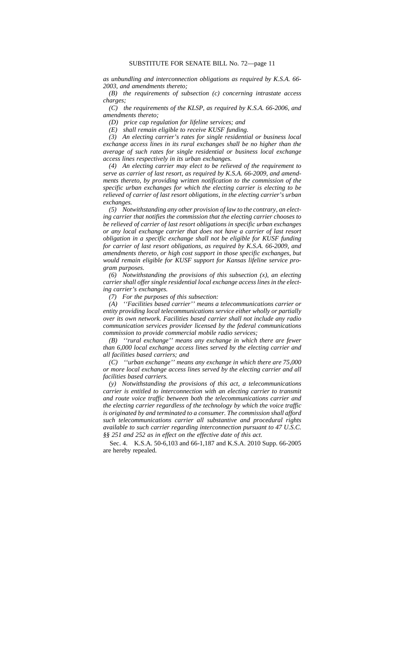*as unbundling and interconnection obligations as required by K.S.A. 66- 2003, and amendments thereto;*

*(B) the requirements of subsection (c) concerning intrastate access charges;*

*(C) the requirements of the KLSP, as required by K.S.A. 66-2006, and amendments thereto;*

*(D) price cap regulation for lifeline services; and*

*(E) shall remain eligible to receive KUSF funding.*

*(3) An electing carrier's rates for single residential or business local exchange access lines in its rural exchanges shall be no higher than the average of such rates for single residential or business local exchange access lines respectively in its urban exchanges.*

*(4) An electing carrier may elect to be relieved of the requirement to serve as carrier of last resort, as required by K.S.A. 66-2009, and amendments thereto, by providing written notification to the commission of the specific urban exchanges for which the electing carrier is electing to be relieved of carrier of last resort obligations, in the electing carrier's urban exchanges.*

*(5) Notwithstanding any other provision of law to the contrary, an electing carrier that notifies the commission that the electing carrier chooses to be relieved of carrier of last resort obligations in specific urban exchanges or any local exchange carrier that does not have a carrier of last resort obligation in a specific exchange shall not be eligible for KUSF funding for carrier of last resort obligations, as required by K.S.A. 66-2009, and amendments thereto, or high cost support in those specific exchanges, but would remain eligible for KUSF support for Kansas lifeline service program purposes.*

*(6) Notwithstanding the provisions of this subsection (x), an electing carrier shall offer single residential local exchange access lines in the electing carrier's exchanges.*

*(7) For the purposes of this subsection:*

*(A) ''Facilities based carrier'' means a telecommunications carrier or entity providing local telecommunications service either wholly or partially over its own network. Facilities based carrier shall not include any radio communication services provider licensed by the federal communications commission to provide commercial mobile radio services;*

*(B) ''rural exchange'' means any exchange in which there are fewer than 6,000 local exchange access lines served by the electing carrier and all facilities based carriers; and*

*(C) ''urban exchange'' means any exchange in which there are 75,000 or more local exchange access lines served by the electing carrier and all facilities based carriers.*

*(y) Notwithstanding the provisions of this act, a telecommunications carrier is entitled to interconnection with an electing carrier to transmit and route voice traffic between both the telecommunications carrier and the electing carrier regardless of the technology by which the voice traffic is originated by and terminated to a consumer. The commission shall afford such telecommunications carrier all substantive and procedural rights available to such carrier regarding interconnection pursuant to 47 U.S.C. §§ 251 and 252 as in effect on the effective date of this act.*

Sec. 4. K.S.A. 50-6,103 and 66-1,187 and K.S.A. 2010 Supp. 66-2005 are hereby repealed.